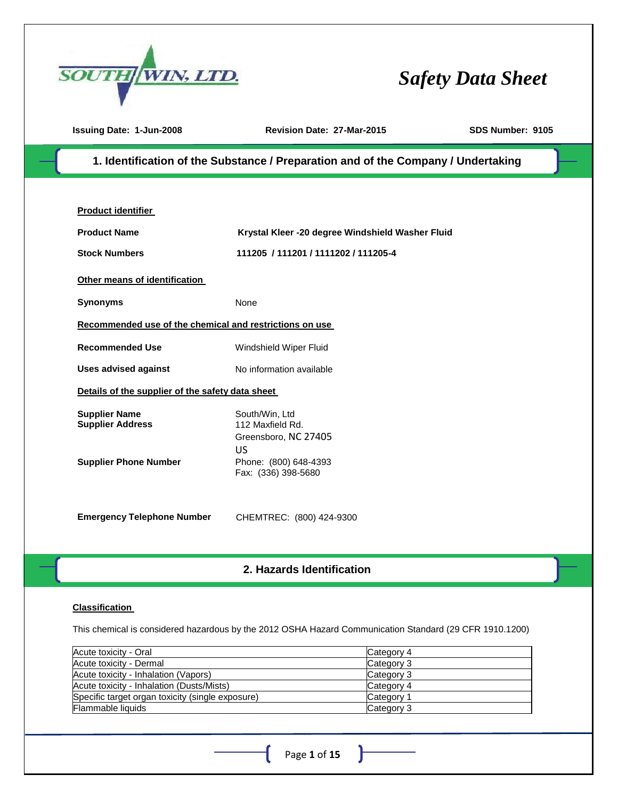

**Issuing Date: 1-Jun-2008 Revision Date: 27-Mar-2015 SDS Number: 9105**

## 1. Identification of the Substance / Preparation and of the Company / Undertaking

| <b>Product identifier</b>                                                       |                                                                                                                  |
|---------------------------------------------------------------------------------|------------------------------------------------------------------------------------------------------------------|
| <b>Product Name</b>                                                             | Krystal Kleer -20 degree Windshield Washer Fluid                                                                 |
| <b>Stock Numbers</b>                                                            | 111205 / 111201 / 1111202 / 111205-4                                                                             |
| Other means of identification                                                   |                                                                                                                  |
| <b>Synonyms</b>                                                                 | <b>None</b>                                                                                                      |
| Recommended use of the chemical and restrictions on use                         |                                                                                                                  |
| <b>Recommended Use</b>                                                          | Windshield Wiper Fluid                                                                                           |
| <b>Uses advised against</b>                                                     | No information available                                                                                         |
| Details of the supplier of the safety data sheet                                |                                                                                                                  |
| <b>Supplier Name</b><br><b>Supplier Address</b><br><b>Supplier Phone Number</b> | South/Win, Ltd<br>112 Maxfield Rd.<br>Greensboro, NC 27405<br>US<br>Phone: (800) 648-4393<br>Fax: (336) 398-5680 |
| <b>Emergency Telephone Number</b>                                               | CHEMTREC: (800) 424-9300                                                                                         |

## **2. HAZARDS IDENTIFICATION 2. Hazards Identification**

#### **Classification**

This chemical is considered hazardous by the 2012 OSHA Hazard Communication Standard (29 CFR 1910.1200)

| Acute toxicity - Oral                            | Category 4 |
|--------------------------------------------------|------------|
| Acute toxicity - Dermal                          | Category 3 |
| Acute toxicity - Inhalation (Vapors)             | Category 3 |
| Acute toxicity - Inhalation (Dusts/Mists)        | Category 4 |
| Specific target organ toxicity (single exposure) | Category 1 |
| <b>Flammable liquids</b>                         | Category 3 |

ŀ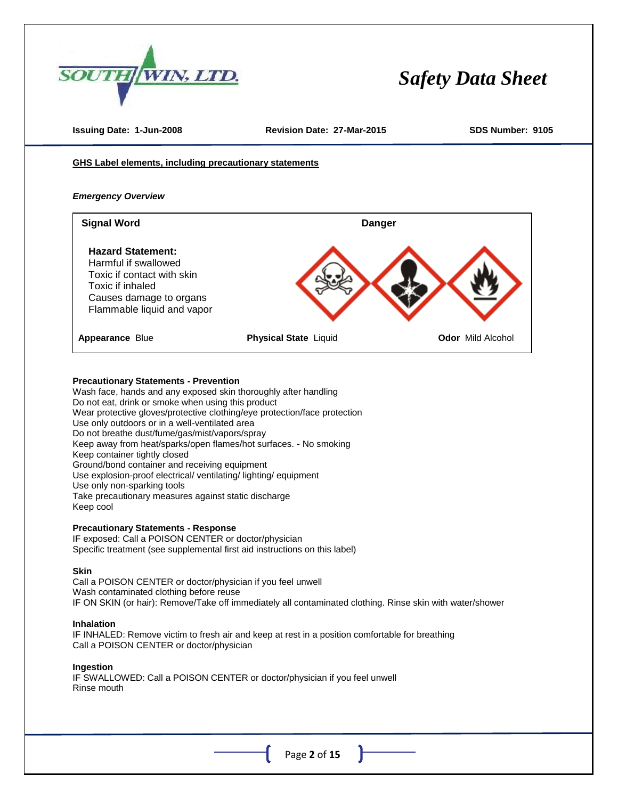

**Issuing Date: 1-Jun-2008 Revision Date: 27-Mar-2015 SDS Number: 9105**

**GHS Label elements, including precautionary statements**

#### *Emergency Overview*



#### **Precautionary Statements - Prevention**

Wash face, hands and any exposed skin thoroughly after handling Do not eat, drink or smoke when using this product Wear protective gloves/protective clothing/eye protection/face protection Use only outdoors or in a well-ventilated area Do not breathe dust/fume/gas/mist/vapors/spray Keep away from heat/sparks/open flames/hot surfaces. - No smoking Keep container tightly closed Ground/bond container and receiving equipment Use explosion-proof electrical/ ventilating/ lighting/ equipment Use only non-sparking tools Take precautionary measures against static discharge Keep cool

#### **Precautionary Statements - Response**

IF exposed: Call a POISON CENTER or doctor/physician Specific treatment (see supplemental first aid instructions on this label)

#### **Skin**

Call a POISON CENTER or doctor/physician if you feel unwell Wash contaminated clothing before reuse IF ON SKIN (or hair): Remove/Take off immediately all contaminated clothing. Rinse skin with water/shower

#### **Inhalation**

IF INHALED: Remove victim to fresh air and keep at rest in a position comfortable for breathing Call a POISON CENTER or doctor/physician

#### **Ingestion**

IF SWALLOWED: Call a POISON CENTER or doctor/physician if you feel unwell Rinse mouth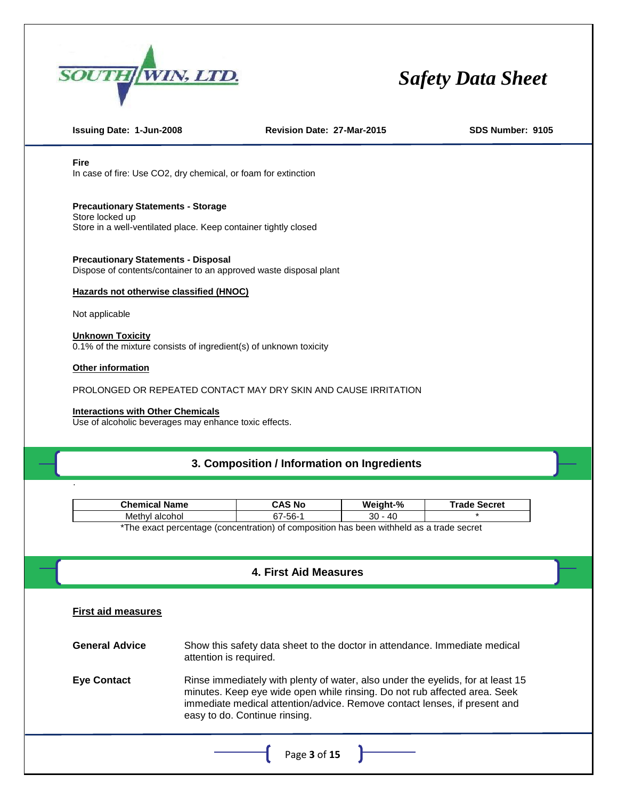

**Issuing Date: 1-Jun-2008 Revision Date: 27-Mar-2015 SDS Number: 9105**

**Fire**

In case of fire: Use CO2, dry chemical, or foam for extinction

**Precautionary Statements - Storage**

Store locked up Store in a well-ventilated place. Keep container tightly closed

**Precautionary Statements - Disposal** Dispose of contents/container to an approved waste disposal plant

#### **Hazards not otherwise classified (HNOC)**

Not applicable

#### **Unknown Toxicity**

0.1% of the mixture consists of ingredient(s) of unknown toxicity

#### **Other information**

.

PROLONGED OR REPEATED CONTACT MAY DRY SKIN AND CAUSE IRRITATION

#### **Interactions with Other Chemicals**

Use of alcoholic beverages may enhance toxic effects.

## **3. COMPOSITION/INFORMATION ON INGREDIENTS 3. Composition / Information on Ingredients**

| <b>Chemical Name</b>                                                                     | <b>CAS No</b> | Weight-%  | <b>Trade Secret</b> |  |
|------------------------------------------------------------------------------------------|---------------|-----------|---------------------|--|
| Methyl alcohol                                                                           | 67-56-1       | $30 - 40$ |                     |  |
| *The exact percentage (concentration) of composition has been withheld as a trade secret |               |           |                     |  |

## **4. FIRST AID MEASURES 4. First Aid Measures**

| <b>First aid measures</b> |                                                                                                                                                                                                                                                                            |
|---------------------------|----------------------------------------------------------------------------------------------------------------------------------------------------------------------------------------------------------------------------------------------------------------------------|
| <b>General Advice</b>     | Show this safety data sheet to the doctor in attendance. Immediate medical<br>attention is required.                                                                                                                                                                       |
| <b>Eye Contact</b>        | Rinse immediately with plenty of water, also under the eyelids, for at least 15<br>minutes. Keep eye wide open while rinsing. Do not rub affected area. Seek<br>immediate medical attention/advice. Remove contact lenses, if present and<br>easy to do. Continue rinsing. |
|                           | Page 3 of 15                                                                                                                                                                                                                                                               |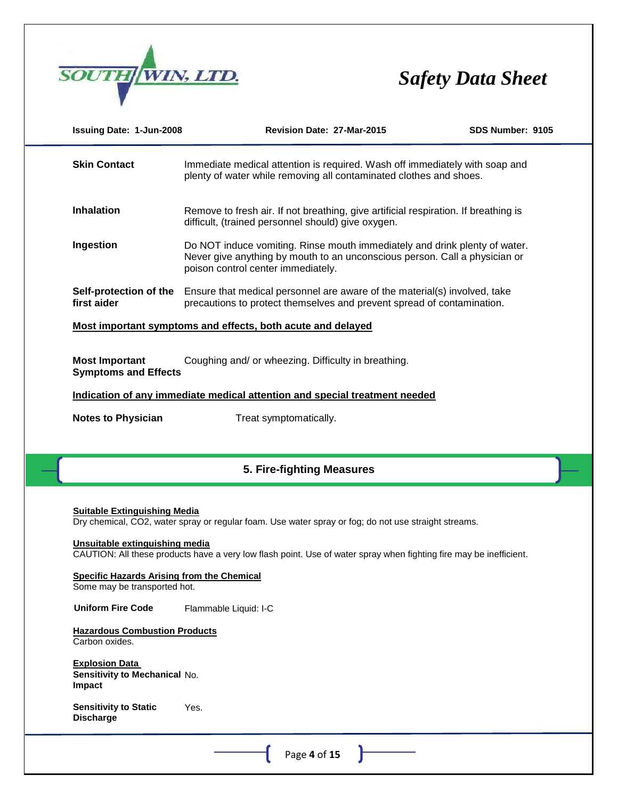

| Issuing Date: 1-Jun-2008                                                          | Revision Date: 27-Mar-2015                                                                                                                                                                     | SDS Number: 9105 |
|-----------------------------------------------------------------------------------|------------------------------------------------------------------------------------------------------------------------------------------------------------------------------------------------|------------------|
| <b>Skin Contact</b>                                                               | Immediate medical attention is required. Wash off immediately with soap and<br>plenty of water while removing all contaminated clothes and shoes.                                              |                  |
| <b>Inhalation</b>                                                                 | Remove to fresh air. If not breathing, give artificial respiration. If breathing is<br>difficult, (trained personnel should) give oxygen.                                                      |                  |
| Ingestion                                                                         | Do NOT induce vomiting. Rinse mouth immediately and drink plenty of water.<br>Never give anything by mouth to an unconscious person. Call a physician or<br>poison control center immediately. |                  |
| Self-protection of the<br>first aider                                             | Ensure that medical personnel are aware of the material(s) involved, take<br>precautions to protect themselves and prevent spread of contamination.                                            |                  |
|                                                                                   | Most important symptoms and effects, both acute and delayed                                                                                                                                    |                  |
| <b>Most Important</b><br><b>Symptoms and Effects</b>                              | Coughing and/ or wheezing. Difficulty in breathing.                                                                                                                                            |                  |
|                                                                                   | Indication of any immediate medical attention and special treatment needed                                                                                                                     |                  |
| <b>Notes to Physician</b>                                                         | Treat symptomatically.                                                                                                                                                                         |                  |
|                                                                                   |                                                                                                                                                                                                |                  |
|                                                                                   |                                                                                                                                                                                                |                  |
|                                                                                   | 5. Fire-fighting Measures                                                                                                                                                                      |                  |
| <b>Suitable Extinguishing Media</b>                                               | Dry chemical, CO2, water spray or regular foam. Use water spray or fog; do not use straight streams.                                                                                           |                  |
| Unsuitable extinguishing media                                                    | CAUTION: All these products have a very low flash point. Use of water spray when fighting fire may be inefficient.                                                                             |                  |
| <b>Specific Hazards Arising from the Chemical</b><br>Some may be transported hot. |                                                                                                                                                                                                |                  |
| <b>Uniform Fire Code</b>                                                          | Flammable Liquid: I-C                                                                                                                                                                          |                  |
| <b>Hazardous Combustion Products</b><br>Carbon oxides.                            |                                                                                                                                                                                                |                  |
| <b>Explosion Data</b><br>Sensitivity to Mechanical No.<br>Impact                  |                                                                                                                                                                                                |                  |
| <b>Sensitivity to Static</b><br><b>Discharge</b>                                  | Yes.                                                                                                                                                                                           |                  |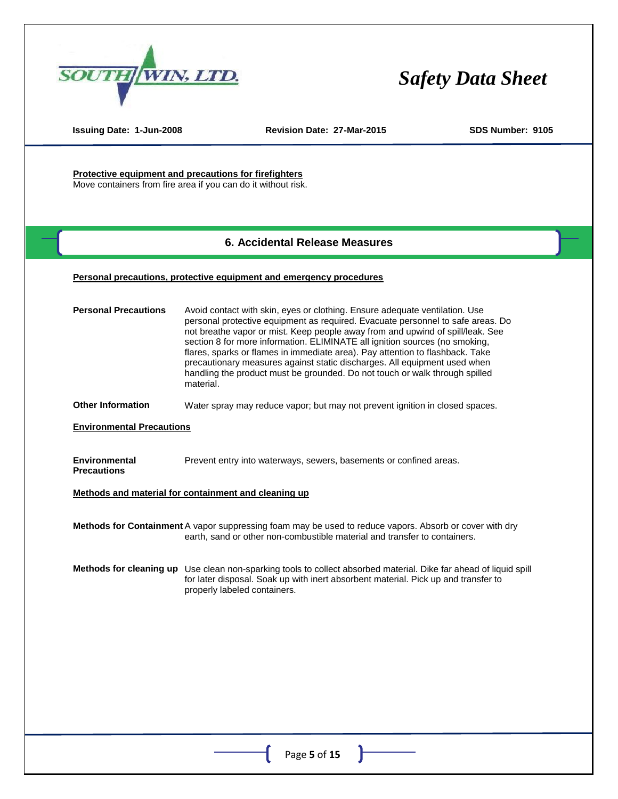

**Issuing Date: 1-Jun-2008 Revision Date: 27-Mar-2015 SDS Number: 9105**

**Protective equipment and precautions for firefighters** Move containers from fire area if you can do it without risk.

#### **6. ACCIDENTAL RELEASE MEASURES 6. Accidental Release Measures**

#### **Personal precautions, protective equipment and emergency procedures**

| <b>Personal Precautions</b>                | Avoid contact with skin, eyes or clothing. Ensure adequate ventilation. Use<br>personal protective equipment as required. Evacuate personnel to safe areas. Do<br>not breathe vapor or mist. Keep people away from and upwind of spill/leak. See<br>section 8 for more information. ELIMINATE all ignition sources (no smoking,<br>flares, sparks or flames in immediate area). Pay attention to flashback. Take<br>precautionary measures against static discharges. All equipment used when<br>handling the product must be grounded. Do not touch or walk through spilled<br>material. |
|--------------------------------------------|-------------------------------------------------------------------------------------------------------------------------------------------------------------------------------------------------------------------------------------------------------------------------------------------------------------------------------------------------------------------------------------------------------------------------------------------------------------------------------------------------------------------------------------------------------------------------------------------|
| <b>Other Information</b>                   | Water spray may reduce vapor; but may not prevent ignition in closed spaces.                                                                                                                                                                                                                                                                                                                                                                                                                                                                                                              |
| <b>Environmental Precautions</b>           |                                                                                                                                                                                                                                                                                                                                                                                                                                                                                                                                                                                           |
| <b>Environmental</b><br><b>Precautions</b> | Prevent entry into waterways, sewers, basements or confined areas.                                                                                                                                                                                                                                                                                                                                                                                                                                                                                                                        |
|                                            | Methods and material for containment and cleaning up                                                                                                                                                                                                                                                                                                                                                                                                                                                                                                                                      |
|                                            | Methods for Containment A vapor suppressing foam may be used to reduce vapors. Absorb or cover with dry<br>earth, sand or other non-combustible material and transfer to containers.                                                                                                                                                                                                                                                                                                                                                                                                      |
|                                            | Methods for cleaning up Use clean non-sparking tools to collect absorbed material. Dike far ahead of liquid spill<br>for later disposal. Soak up with inert absorbent material. Pick up and transfer to<br>properly labeled containers.                                                                                                                                                                                                                                                                                                                                                   |
|                                            |                                                                                                                                                                                                                                                                                                                                                                                                                                                                                                                                                                                           |
|                                            |                                                                                                                                                                                                                                                                                                                                                                                                                                                                                                                                                                                           |
|                                            |                                                                                                                                                                                                                                                                                                                                                                                                                                                                                                                                                                                           |
|                                            |                                                                                                                                                                                                                                                                                                                                                                                                                                                                                                                                                                                           |
|                                            |                                                                                                                                                                                                                                                                                                                                                                                                                                                                                                                                                                                           |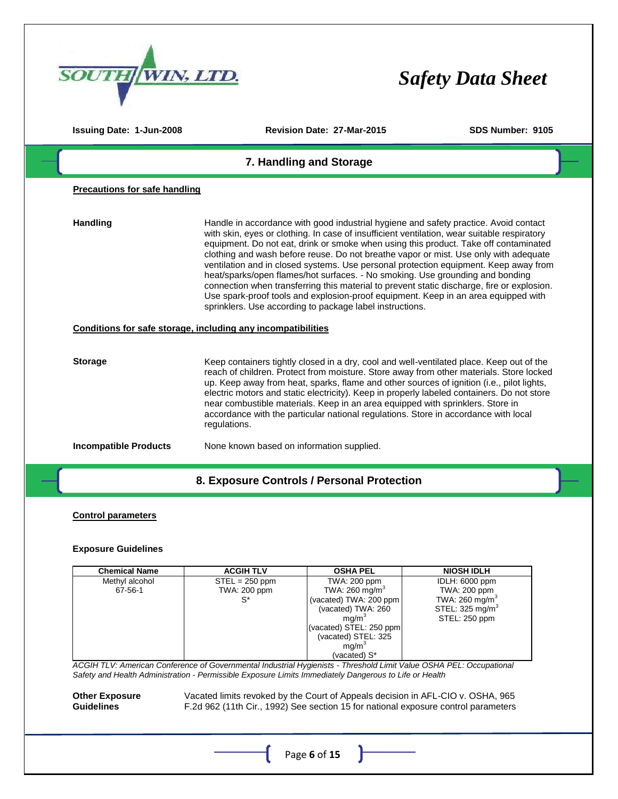| <b>WIN, LTD.</b>                     |                                                                                                                                                                                                                                                                                                                                                                                                                                                                                                                                                                                                                                                                                                                                                                                              | <b>Safety Data Sheet</b> |
|--------------------------------------|----------------------------------------------------------------------------------------------------------------------------------------------------------------------------------------------------------------------------------------------------------------------------------------------------------------------------------------------------------------------------------------------------------------------------------------------------------------------------------------------------------------------------------------------------------------------------------------------------------------------------------------------------------------------------------------------------------------------------------------------------------------------------------------------|--------------------------|
| <b>Issuing Date: 1-Jun-2008</b>      | Revision Date: 27-Mar-2015                                                                                                                                                                                                                                                                                                                                                                                                                                                                                                                                                                                                                                                                                                                                                                   | SDS Number: 9105         |
|                                      | 7. Handling and Storage                                                                                                                                                                                                                                                                                                                                                                                                                                                                                                                                                                                                                                                                                                                                                                      |                          |
| <b>Precautions for safe handling</b> |                                                                                                                                                                                                                                                                                                                                                                                                                                                                                                                                                                                                                                                                                                                                                                                              |                          |
| <b>Handling</b>                      | Handle in accordance with good industrial hygiene and safety practice. Avoid contact<br>with skin, eyes or clothing. In case of insufficient ventilation, wear suitable respiratory<br>equipment. Do not eat, drink or smoke when using this product. Take off contaminated<br>clothing and wash before reuse. Do not breathe vapor or mist. Use only with adequate<br>ventilation and in closed systems. Use personal protection equipment. Keep away from<br>heat/sparks/open flames/hot surfaces. - No smoking. Use grounding and bonding<br>connection when transferring this material to prevent static discharge, fire or explosion.<br>Use spark-proof tools and explosion-proof equipment. Keep in an area equipped with<br>sprinklers. Use according to package label instructions. |                          |
|                                      | Conditions for safe storage, including any incompatibilities                                                                                                                                                                                                                                                                                                                                                                                                                                                                                                                                                                                                                                                                                                                                 |                          |
| <b>Storage</b>                       | Keep containers tightly closed in a dry, cool and well-ventilated place. Keep out of the<br>reach of children. Protect from moisture. Store away from other materials. Store locked<br>up. Keep away from heat, sparks, flame and other sources of ignition (i.e., pilot lights,<br>electric motors and static electricity). Keep in properly labeled containers. Do not store<br>near combustible materials. Keep in an area equipped with sprinklers. Store in<br>accordance with the particular national regulations. Store in accordance with local<br>regulations.                                                                                                                                                                                                                      |                          |
| <b>Incompatible Products</b>         | None known based on information supplied.                                                                                                                                                                                                                                                                                                                                                                                                                                                                                                                                                                                                                                                                                                                                                    |                          |
|                                      | 8. Exposure Controls / Personal Protection                                                                                                                                                                                                                                                                                                                                                                                                                                                                                                                                                                                                                                                                                                                                                   |                          |

#### **Control parameters**

#### **Exposure Guidelines**

| <b>Chemical Name</b> | <b>ACGIH TLV</b>    | <b>OSHA PEL</b>            | <b>NIOSH IDLH</b>           |
|----------------------|---------------------|----------------------------|-----------------------------|
| Methyl alcohol       | $STEL = 250$ ppm    | TWA: 200 ppm               | IDLH: 6000 ppm              |
| 67-56-1              | <b>TWA: 200 ppm</b> | TWA: 260 mg/m <sup>3</sup> | TWA: 200 ppm                |
|                      | $S^*$               | (vacated) TWA: 200 ppm     | TWA: 260 mg/m <sup>3</sup>  |
|                      |                     | (vacated) TWA: 260         | STEL: 325 mg/m <sup>3</sup> |
|                      |                     | mq/m <sup>3</sup>          | STEL: 250 ppm               |
|                      |                     | (vacated) STEL: 250 ppm    |                             |
|                      |                     | (vacated) STEL: 325        |                             |
|                      |                     | mq/m <sup>3</sup>          |                             |
|                      |                     | (vacated) S*               |                             |

*ACGIH TLV: American Conference of Governmental Industrial Hygienists - Threshold Limit Value OSHA PEL: Occupational Safety and Health Administration - Permissible Exposure Limits Immediately Dangerous to Life or Health* 

**Other Exposure Guidelines**  Vacated limits revoked by the Court of Appeals decision in AFL-CIO v. OSHA, 965 F.2d 962 (11th Cir., 1992) See section 15 for national exposure control parameters

Page **6** of **15**

ľ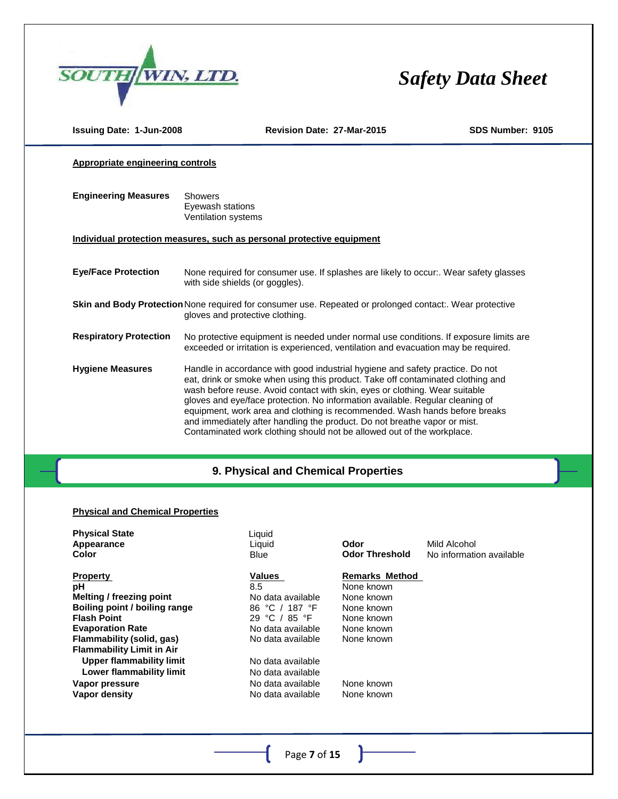

| <b>Issuing Date: 1-Jun-2008</b>                                                                                                                   | Revision Date: 27-Mar-2015                                                                                                                                                                                                                                                                                                                                                                                                                                                                                                                                            | SDS Number: 9105 |  |  |
|---------------------------------------------------------------------------------------------------------------------------------------------------|-----------------------------------------------------------------------------------------------------------------------------------------------------------------------------------------------------------------------------------------------------------------------------------------------------------------------------------------------------------------------------------------------------------------------------------------------------------------------------------------------------------------------------------------------------------------------|------------------|--|--|
| Appropriate engineering controls                                                                                                                  |                                                                                                                                                                                                                                                                                                                                                                                                                                                                                                                                                                       |                  |  |  |
| <b>Engineering Measures</b>                                                                                                                       | <b>Showers</b><br>Eyewash stations<br>Ventilation systems                                                                                                                                                                                                                                                                                                                                                                                                                                                                                                             |                  |  |  |
|                                                                                                                                                   | Individual protection measures, such as personal protective equipment                                                                                                                                                                                                                                                                                                                                                                                                                                                                                                 |                  |  |  |
| <b>Eye/Face Protection</b>                                                                                                                        | None required for consumer use. If splashes are likely to occur:. Wear safety glasses<br>with side shields (or goggles).                                                                                                                                                                                                                                                                                                                                                                                                                                              |                  |  |  |
| <b>Skin and Body Protection</b> None required for consumer use. Repeated or prolonged contact: Wear protective<br>gloves and protective clothing. |                                                                                                                                                                                                                                                                                                                                                                                                                                                                                                                                                                       |                  |  |  |
| <b>Respiratory Protection</b>                                                                                                                     | No protective equipment is needed under normal use conditions. If exposure limits are<br>exceeded or irritation is experienced, ventilation and evacuation may be required.                                                                                                                                                                                                                                                                                                                                                                                           |                  |  |  |
| <b>Hygiene Measures</b>                                                                                                                           | Handle in accordance with good industrial hygiene and safety practice. Do not<br>eat, drink or smoke when using this product. Take off contaminated clothing and<br>wash before reuse. Avoid contact with skin, eyes or clothing. Wear suitable<br>gloves and eye/face protection. No information available. Regular cleaning of<br>equipment, work area and clothing is recommended. Wash hands before breaks<br>and immediately after handling the product. Do not breathe vapor or mist.<br>Contaminated work clothing should not be allowed out of the workplace. |                  |  |  |

## **9. PHYSICAL AND CHEMICAL PROPERTIES 9. Physical and Chemical Properties**

### **Physical and Chemical Properties**

| Liquid<br>Liquid<br><b>Blue</b> | Odor<br><b>Odor Threshold</b> | Mild Alcohol<br>No information available |
|---------------------------------|-------------------------------|------------------------------------------|
|                                 |                               |                                          |
|                                 |                               |                                          |
| No data available               | None known                    |                                          |
| 86 °C / 187 °F                  | None known                    |                                          |
| 29 °C / 85 °F                   | None known                    |                                          |
| No data available               | None known                    |                                          |
| No data available               | None known                    |                                          |
|                                 |                               |                                          |
| No data available               |                               |                                          |
| No data available               |                               |                                          |
| No data available               | None known                    |                                          |
| No data available               | None known                    |                                          |
|                                 |                               |                                          |
|                                 | Values<br>8.5                 | <b>Remarks Method</b><br>None known      |

Þ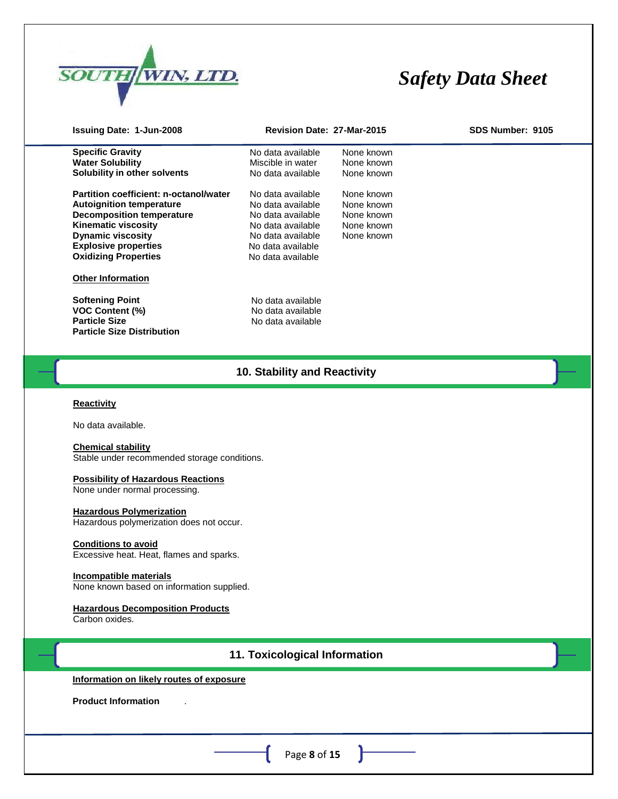

| Issuing Date: 1-Jun-2008                                                                                                                                                                                                                                                                                                                                                                                                                                                                        | Revision Date: 27-Mar-2015                                                                                                                      |                                                                    | SDS Number: 9105 |
|-------------------------------------------------------------------------------------------------------------------------------------------------------------------------------------------------------------------------------------------------------------------------------------------------------------------------------------------------------------------------------------------------------------------------------------------------------------------------------------------------|-------------------------------------------------------------------------------------------------------------------------------------------------|--------------------------------------------------------------------|------------------|
| <b>Specific Gravity</b><br><b>Water Solubility</b><br>Solubility in other solvents                                                                                                                                                                                                                                                                                                                                                                                                              | No data available<br>Miscible in water<br>No data available                                                                                     | None known<br>None known<br>None known                             |                  |
| Partition coefficient: n-octanol/water<br><b>Autoignition temperature</b><br><b>Decomposition temperature</b><br><b>Kinematic viscosity</b><br><b>Dynamic viscosity</b><br><b>Explosive properties</b><br><b>Oxidizing Properties</b>                                                                                                                                                                                                                                                           | No data available<br>No data available<br>No data available<br>No data available<br>No data available<br>No data available<br>No data available | None known<br>None known<br>None known<br>None known<br>None known |                  |
| <b>Other Information</b>                                                                                                                                                                                                                                                                                                                                                                                                                                                                        |                                                                                                                                                 |                                                                    |                  |
| <b>Softening Point</b><br><b>VOC Content (%)</b><br><b>Particle Size</b><br><b>Particle Size Distribution</b>                                                                                                                                                                                                                                                                                                                                                                                   | No data available<br>No data available<br>No data available                                                                                     |                                                                    |                  |
|                                                                                                                                                                                                                                                                                                                                                                                                                                                                                                 | 10. Stability and Reactivity                                                                                                                    |                                                                    |                  |
| <b>Reactivity</b><br>No data available.<br><b>Chemical stability</b><br>Stable under recommended storage conditions.<br><b>Possibility of Hazardous Reactions</b><br>None under normal processing.<br><b>Hazardous Polymerization</b><br>Hazardous polymerization does not occur.<br><b>Conditions to avoid</b><br>Excessive heat. Heat, flames and sparks.<br>Incompatible materials<br>None known based on information supplied.<br><b>Hazardous Decomposition Products</b><br>Carbon oxides. |                                                                                                                                                 |                                                                    |                  |
|                                                                                                                                                                                                                                                                                                                                                                                                                                                                                                 | 11. Toxicological Information                                                                                                                   |                                                                    |                  |
| Information on likely routes of exposure                                                                                                                                                                                                                                                                                                                                                                                                                                                        |                                                                                                                                                 |                                                                    |                  |
| <b>Product Information</b>                                                                                                                                                                                                                                                                                                                                                                                                                                                                      |                                                                                                                                                 |                                                                    |                  |
|                                                                                                                                                                                                                                                                                                                                                                                                                                                                                                 | Page 8 of 15                                                                                                                                    |                                                                    |                  |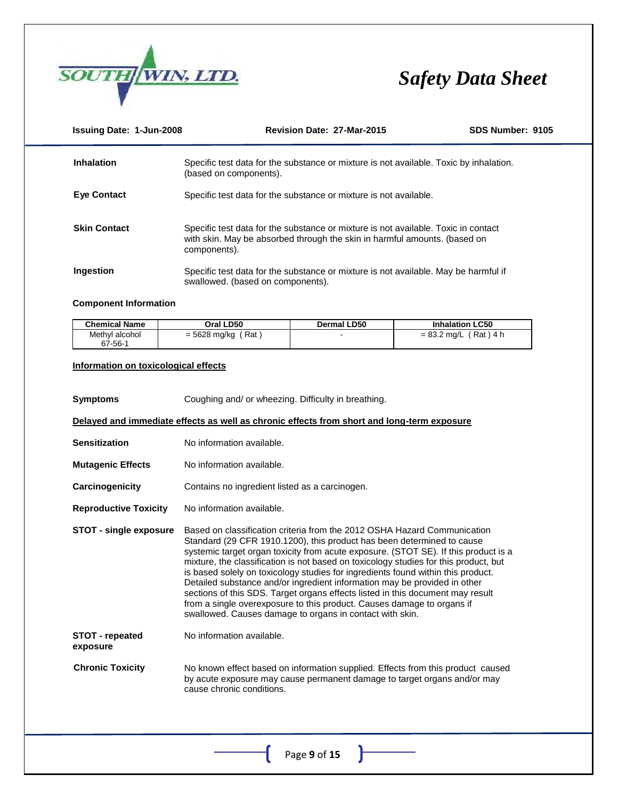

| <b>Issuing Date: 1-Jun-2008</b> | Revision Date: 27-Mar-2015                                                                                                                                                      | SDS Number: 9105 |
|---------------------------------|---------------------------------------------------------------------------------------------------------------------------------------------------------------------------------|------------------|
| <b>Inhalation</b>               | Specific test data for the substance or mixture is not available. Toxic by inhalation.<br>(based on components).                                                                |                  |
| <b>Eye Contact</b>              | Specific test data for the substance or mixture is not available.                                                                                                               |                  |
| <b>Skin Contact</b>             | Specific test data for the substance or mixture is not available. Toxic in contact<br>with skin. May be absorbed through the skin in harmful amounts. (based on<br>components). |                  |
| Ingestion                       | Specific test data for the substance or mixture is not available. May be harmful if<br>swallowed. (based on components).                                                        |                  |

#### **Component Information**

| <b>Chemical Name</b> | Oral LD50        | Dermal LD50 | <b>Inhalation LC50</b> |
|----------------------|------------------|-------------|------------------------|
| Methyl alcohol       | $= 5628$ mg/kg ( |             | (Rat)4 h               |
| 67-56-1              | ′ Rat            |             | $= 83.2$ mg/L,         |

#### **Information on toxicological effects**

| <b>Symptoms</b>                    | Coughing and/ or wheezing. Difficulty in breathing.                                                                                                                                                                                                                                                                                                                                                                                                                                                                                                                                                                                                                                                                        |
|------------------------------------|----------------------------------------------------------------------------------------------------------------------------------------------------------------------------------------------------------------------------------------------------------------------------------------------------------------------------------------------------------------------------------------------------------------------------------------------------------------------------------------------------------------------------------------------------------------------------------------------------------------------------------------------------------------------------------------------------------------------------|
|                                    | Delayed and immediate effects as well as chronic effects from short and long-term exposure                                                                                                                                                                                                                                                                                                                                                                                                                                                                                                                                                                                                                                 |
| <b>Sensitization</b>               | No information available.                                                                                                                                                                                                                                                                                                                                                                                                                                                                                                                                                                                                                                                                                                  |
| <b>Mutagenic Effects</b>           | No information available.                                                                                                                                                                                                                                                                                                                                                                                                                                                                                                                                                                                                                                                                                                  |
| Carcinogenicity                    | Contains no ingredient listed as a carcinogen.                                                                                                                                                                                                                                                                                                                                                                                                                                                                                                                                                                                                                                                                             |
| <b>Reproductive Toxicity</b>       | No information available.                                                                                                                                                                                                                                                                                                                                                                                                                                                                                                                                                                                                                                                                                                  |
| <b>STOT - single exposure</b>      | Based on classification criteria from the 2012 OSHA Hazard Communication<br>Standard (29 CFR 1910.1200), this product has been determined to cause<br>systemic target organ toxicity from acute exposure. (STOT SE). If this product is a<br>mixture, the classification is not based on toxicology studies for this product, but<br>is based solely on toxicology studies for ingredients found within this product.<br>Detailed substance and/or ingredient information may be provided in other<br>sections of this SDS. Target organs effects listed in this document may result<br>from a single overexposure to this product. Causes damage to organs if<br>swallowed. Causes damage to organs in contact with skin. |
| <b>STOT</b> - repeated<br>exposure | No information available.                                                                                                                                                                                                                                                                                                                                                                                                                                                                                                                                                                                                                                                                                                  |
| <b>Chronic Toxicity</b>            | No known effect based on information supplied. Effects from this product caused<br>by acute exposure may cause permanent damage to target organs and/or may<br>cause chronic conditions.                                                                                                                                                                                                                                                                                                                                                                                                                                                                                                                                   |
|                                    | Page 9 of 15                                                                                                                                                                                                                                                                                                                                                                                                                                                                                                                                                                                                                                                                                                               |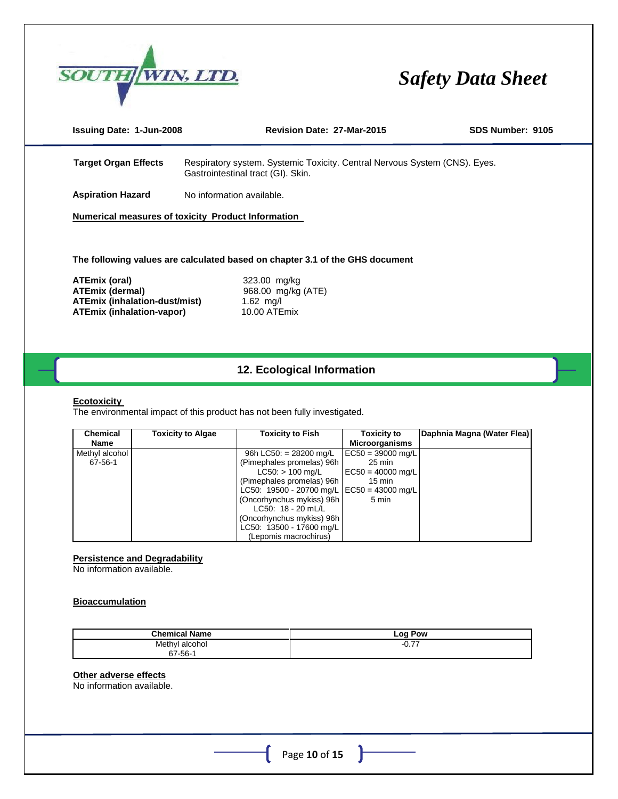

| <b>Issuing Date: 1-Jun-2008</b> | Revision Date: 27-Mar-2015                                                                                       | SDS Number: 9105 |
|---------------------------------|------------------------------------------------------------------------------------------------------------------|------------------|
| <b>Target Organ Effects</b>     | Respiratory system. Systemic Toxicity. Central Nervous System (CNS). Eyes.<br>Gastrointestinal tract (GI). Skin. |                  |
| <b>Aspiration Hazard</b>        | No information available.                                                                                        |                  |

**Numerical measures of toxicity Product Information** 

**The following values are calculated based on chapter 3.1 of the GHS document**

**ATEmix (oral)** 323.00 mg/kg<br> **ATEmix (dermal)** 968.00 mg/kg **ATEmix (inhalation-dust/mist)** 1.62 mg/l **ATEmix (inhalation-vapor)** 10.00 ATEmix

**ATEmix (dermal)** 968.00 mg/kg (ATE)

### **12. ECOLOGICAL INFORMATION 12. Ecological Information**

#### **Ecotoxicity**

The environmental impact of this product has not been fully investigated.

| <b>Chemical</b> | <b>Toxicity to Algae</b> | <b>Toxicity to Fish</b>                      | <b>Toxicity to</b>    | Daphnia Magna (Water Flea) |
|-----------------|--------------------------|----------------------------------------------|-----------------------|----------------------------|
| Name            |                          |                                              | <b>Microorganisms</b> |                            |
| Methyl alcohol  |                          | 96h LC50: $= 28200$ mg/L                     | $EC50 = 39000$ mg/L   |                            |
| 67-56-1         |                          | (Pimephales promelas) 96h                    | $25 \text{ min}$      |                            |
|                 |                          | $LC50:$ > 100 mg/L                           | $EC50 = 40000$ mg/L   |                            |
|                 |                          | (Pimephales promelas) 96h                    | $15 \text{ min}$      |                            |
|                 |                          | LC50: 19500 - 20700 mg/L   EC50 = 43000 mg/L |                       |                            |
|                 |                          | (Oncorhynchus mykiss) 96h                    | 5 min                 |                            |
|                 |                          | $LC50: 18 - 20$ mL/L                         |                       |                            |
|                 |                          | (Oncorhynchus mykiss) 96h                    |                       |                            |
|                 |                          | LC50: 13500 - 17600 mg/L                     |                       |                            |
|                 |                          | (Lepomis macrochirus)                        |                       |                            |

#### **Persistence and Degradability**

No information available.

#### **Bioaccumulation**

| <b>Chemical Name</b> | Log Pow      |
|----------------------|--------------|
| Methyl<br>alcohol    | $-$<br>. U.I |
| 67-56-1              |              |

#### **Other adverse effects**

No information available.

ľ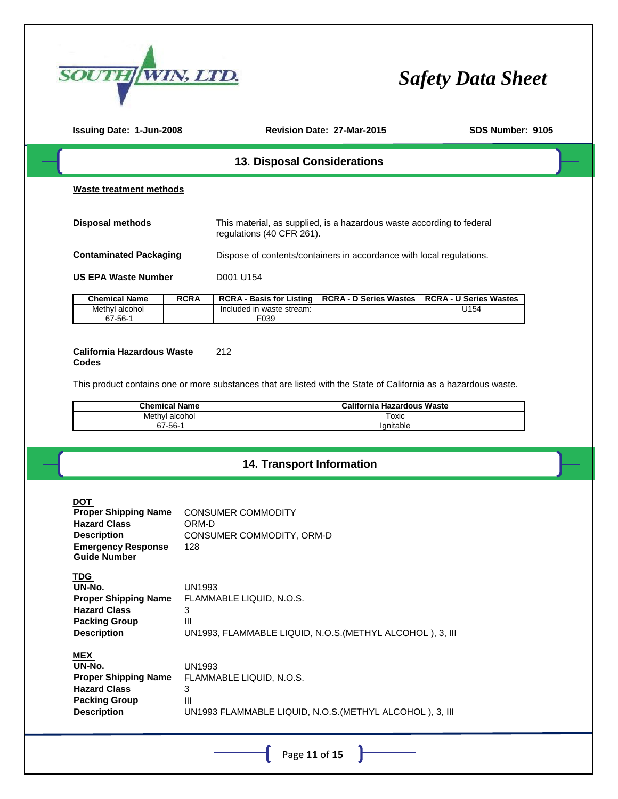

| <b>Issuing Date: 1-Jun-2008</b>                                                                                                            |                                                                        | Revision Date: 27-Mar-2015                                                                                      | SDS Number: 9105                           |  |
|--------------------------------------------------------------------------------------------------------------------------------------------|------------------------------------------------------------------------|-----------------------------------------------------------------------------------------------------------------|--------------------------------------------|--|
|                                                                                                                                            |                                                                        | 13. Disposal Considerations                                                                                     |                                            |  |
| <b>Waste treatment methods</b>                                                                                                             |                                                                        |                                                                                                                 |                                            |  |
| <b>Disposal methods</b>                                                                                                                    |                                                                        | This material, as supplied, is a hazardous waste according to federal<br>regulations (40 CFR 261).              |                                            |  |
| <b>Contaminated Packaging</b>                                                                                                              |                                                                        | Dispose of contents/containers in accordance with local regulations.                                            |                                            |  |
| <b>US EPA Waste Number</b>                                                                                                                 | D001 U154                                                              |                                                                                                                 |                                            |  |
| <b>Chemical Name</b>                                                                                                                       | <b>RCRA</b>                                                            | <b>RCRA - D Series Wastes</b><br><b>RCRA - Basis for Listing</b>                                                | <b>RCRA - U Series Wastes</b>              |  |
| Methyl alcohol<br>67-56-1                                                                                                                  |                                                                        | Included in waste stream:<br>F039                                                                               | U154                                       |  |
| <b>California Hazardous Waste</b><br>Codes                                                                                                 | 212                                                                    | This product contains one or more substances that are listed with the State of California as a hazardous waste. |                                            |  |
| <b>Chemical Name</b><br>Methyl alcohol                                                                                                     |                                                                        |                                                                                                                 | <b>California Hazardous Waste</b><br>Toxic |  |
| 67-56-1                                                                                                                                    |                                                                        |                                                                                                                 | Ignitable                                  |  |
|                                                                                                                                            |                                                                        | 14. Transport Information                                                                                       |                                            |  |
| <b>DOT</b><br><b>Proper Shipping Name</b><br><b>Hazard Class</b><br><b>Description</b><br><b>Emergency Response</b><br><b>Guide Number</b> | <b>CONSUMER COMMODITY</b><br>ORM-D<br>CONSUMER COMMODITY, ORM-D<br>128 |                                                                                                                 |                                            |  |
| <b>TDG</b><br>UN-No.<br><b>Proper Shipping Name</b><br><b>Hazard Class</b><br><b>Packing Group</b><br><b>Description</b>                   | <b>UN1993</b><br>FLAMMABLE LIQUID, N.O.S.<br>3<br>III                  | UN1993, FLAMMABLE LIQUID, N.O.S. (METHYL ALCOHOL), 3, III                                                       |                                            |  |
| <b>MEX</b><br>UN-No.<br><b>Proper Shipping Name</b><br><b>Hazard Class</b><br><b>Packing Group</b><br><b>Description</b>                   | <b>UN1993</b><br>FLAMMABLE LIQUID, N.O.S.<br>3<br>III                  | UN1993 FLAMMABLE LIQUID, N.O.S. (METHYL ALCOHOL), 3, III                                                        |                                            |  |
|                                                                                                                                            |                                                                        | Page 11 of 15                                                                                                   |                                            |  |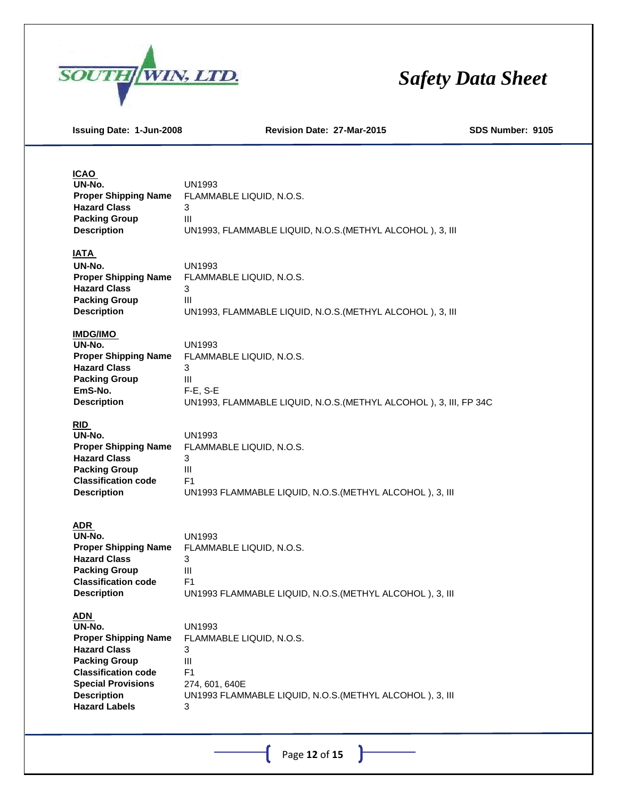

**Issuing Date: 1-Jun-2008 Revision Date: 27-Mar-2015 SDS Number: 9105**

#### **ICAO**

| $-$                         |                                                           |
|-----------------------------|-----------------------------------------------------------|
| UN-No.                      | UN1993                                                    |
| <b>Proper Shipping Name</b> | FLAMMABLE LIQUID, N.O.S.                                  |
| <b>Hazard Class</b>         | 3                                                         |
| <b>Packing Group</b>        | Ш                                                         |
| <b>Description</b>          | UN1993, FLAMMABLE LIQUID, N.O.S. (METHYL ALCOHOL), 3, III |
|                             |                                                           |
| <b>IATA</b>                 |                                                           |
| UN-No.                      | UN1993                                                    |
| <b>Proper Shipping Name</b> | FLAMMABLE LIQUID, N.O.S.                                  |
| <b>Hazard Class</b>         | 3                                                         |

| T LAIVIIVIADLL LIQUID. IN.O.O.                            |
|-----------------------------------------------------------|
|                                                           |
|                                                           |
| UN1993, FLAMMABLE LIQUID, N.O.S. (METHYL ALCOHOL), 3, III |
|                                                           |

### **IMDG/IMO**

| UN-No.                      | UN1993                                                            |
|-----------------------------|-------------------------------------------------------------------|
| <b>Proper Shipping Name</b> | FLAMMABLE LIQUID. N.O.S.                                          |
| <b>Hazard Class</b>         |                                                                   |
| <b>Packing Group</b>        | Ш                                                                 |
| EmS-No.                     | $F-E. S-E$                                                        |
| <b>Description</b>          | UN1993, FLAMMABLE LIQUID, N.O.S. (METHYL ALCOHOL), 3, III, FP 34C |
|                             |                                                                   |

### **RID**

| UN-No.                      | UN1993                                                   |
|-----------------------------|----------------------------------------------------------|
| <b>Proper Shipping Name</b> | FLAMMABLE LIQUID. N.O.S.                                 |
| <b>Hazard Class</b>         |                                                          |
| <b>Packing Group</b>        | Ш                                                        |
| <b>Classification code</b>  | F1                                                       |
| <b>Description</b>          | UN1993 FLAMMABLE LIQUID, N.O.S. (METHYL ALCOHOL), 3, III |
|                             |                                                          |

#### **ADR**

| UN-No.                      | UN1993                                                   |
|-----------------------------|----------------------------------------------------------|
| <b>Proper Shipping Name</b> | FLAMMABLE LIQUID, N.O.S.                                 |
| <b>Hazard Class</b>         |                                                          |
| <b>Packing Group</b>        | Ш                                                        |
| <b>Classification code</b>  | F1                                                       |
| <b>Description</b>          | UN1993 FLAMMABLE LIQUID, N.O.S. (METHYL ALCOHOL), 3, III |
|                             |                                                          |

### **ADN**

| UN-No.                      | UN1993                                                   |
|-----------------------------|----------------------------------------------------------|
| <b>Proper Shipping Name</b> | FLAMMABLE LIQUID, N.O.S.                                 |
| <b>Hazard Class</b>         | 3                                                        |
| <b>Packing Group</b>        | Ш                                                        |
| <b>Classification code</b>  | F1                                                       |
| <b>Special Provisions</b>   | 274, 601, 640E                                           |
| <b>Description</b>          | UN1993 FLAMMABLE LIQUID, N.O.S. (METHYL ALCOHOL), 3, III |
| <b>Hazard Labels</b>        | 3                                                        |

Page **12** of **15**

 $\mathbf{r}$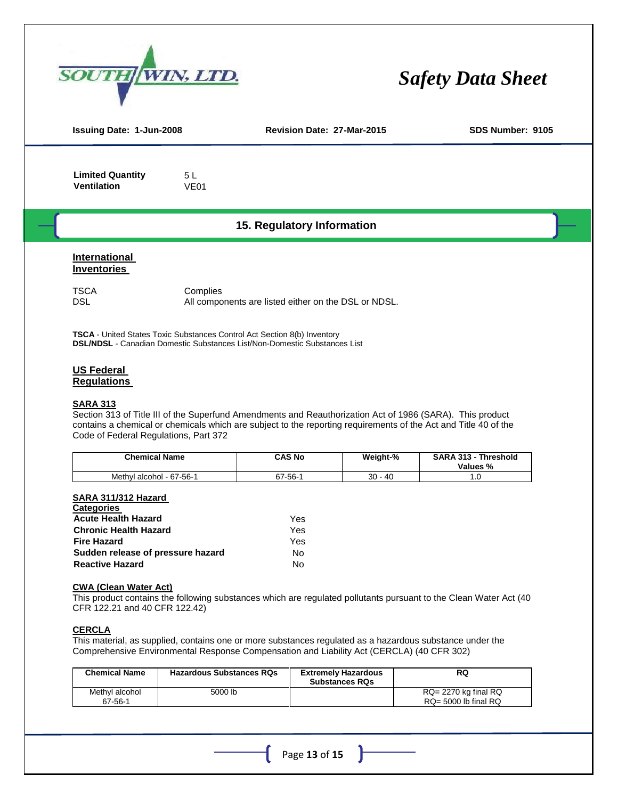

| <b>Issuing Date: 1-Jun-2008</b>                                                        |                                                                                 | Revision Date: 27-Mar-2015 | SDS Number: 9105 |  |
|----------------------------------------------------------------------------------------|---------------------------------------------------------------------------------|----------------------------|------------------|--|
| <b>Limited Quantity</b><br><b>Ventilation</b>                                          | 5L<br>VE <sub>01</sub>                                                          |                            |                  |  |
|                                                                                        |                                                                                 | 15. Regulatory Information |                  |  |
| International<br><b>Inventories</b>                                                    |                                                                                 |                            |                  |  |
| TSCA<br>Complies<br><b>DSL</b><br>All components are listed either on the DSL or NDSL. |                                                                                 |                            |                  |  |
|                                                                                        | <b>TSCA</b> - United States Toxic Substances Control Act Section 8(b) Inventory |                            |                  |  |

**DSL/NDSL** - Canadian Domestic Substances List/Non-Domestic Substances List

#### **US Federal**

#### **Regulations**

#### **SARA 313**

Section 313 of Title III of the Superfund Amendments and Reauthorization Act of 1986 (SARA). This product contains a chemical or chemicals which are subject to the reporting requirements of the Act and Title 40 of the Code of Federal Regulations, Part 372

| <b>Chemical Name</b>     | <b>CAS No</b> | Weight-%   | <b>SARA 313 -</b><br>Threshold<br>Values % |
|--------------------------|---------------|------------|--------------------------------------------|
| Methyl alcohol - 67-56-1 | $67 - 56 -$   | 30<br>- 40 |                                            |

#### **SARA 311/312 Hazard**

| <b>Categories</b>                 |     |
|-----------------------------------|-----|
| <b>Acute Health Hazard</b>        | Yes |
| <b>Chronic Health Hazard</b>      | Yes |
| <b>Fire Hazard</b>                | Yes |
| Sudden release of pressure hazard | No  |
| <b>Reactive Hazard</b>            | N٥  |

#### **CWA (Clean Water Act)**

This product contains the following substances which are regulated pollutants pursuant to the Clean Water Act (40 CFR 122.21 and 40 CFR 122.42)

#### **CERCLA**

This material, as supplied, contains one or more substances regulated as a hazardous substance under the Comprehensive Environmental Response Compensation and Liability Act (CERCLA) (40 CFR 302)

| <b>Chemical Name</b>      | <b>Hazardous Substances RQs</b> | <b>Extremely Hazardous</b><br><b>Substances RQs</b> | RQ                                                     |
|---------------------------|---------------------------------|-----------------------------------------------------|--------------------------------------------------------|
| Methyl alcohol<br>67-56-1 | 5000 lb                         |                                                     | $RQ = 2270$ kg final $RQ$<br>$RQ = 5000$ lb final $RQ$ |

Page **13** of **15**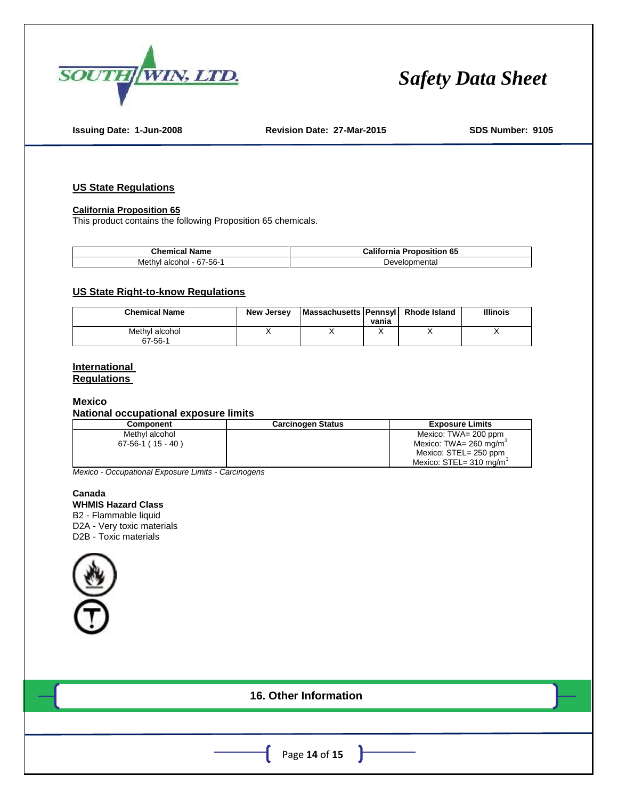

**Issuing Date: 1-Jun-2008 Revision Date: 27-Mar-2015 SDS Number: 9105**

#### **US State Regulations**

#### **California Proposition 65**

This product contains the following Proposition 65 chemicals.

| . .                                     | California                |  |  |
|-----------------------------------------|---------------------------|--|--|
| Jhemica'                                | 65                        |  |  |
| Name                                    | Proposition               |  |  |
| $\sim$<br>Methyl<br>alcohol<br>-67-56-7 | וmenta<br>Develo<br>ונונו |  |  |

#### **US State Right-to-know Regulations**

| <b>Chemical Name</b>      | <b>New Jersey</b> | Massachusetts Pennsyll Rhode Island | vania | <b>Illinois</b> |
|---------------------------|-------------------|-------------------------------------|-------|-----------------|
| Methyl alcohol<br>67-56-1 |                   |                                     |       |                 |

#### **International Regulations**

#### **Mexico**

#### **National occupational exposure limits**

| Component           | <b>Carcinogen Status</b> | <b>Exposure Limits</b>                 |
|---------------------|--------------------------|----------------------------------------|
| Methyl alcohol      |                          | Mexico: TWA= 200 ppm                   |
| $67-56-1$ (15 - 40) |                          | Mexico: TWA= 260 mg/m <sup>3</sup>     |
|                     |                          | Mexico: STEL= 250 ppm                  |
|                     |                          | Mexico: $STEL = 310$ mg/m <sup>3</sup> |

*Mexico - Occupational Exposure Limits - Carcinogens* 

#### **Canada WHMIS Hazard Class**

B2 - Flammable liquid D2A - Very toxic materials D2B - Toxic materials



| 16. Other Information                  |
|----------------------------------------|
|                                        |
| Page 14 of 15 $\overline{\phantom{a}}$ |